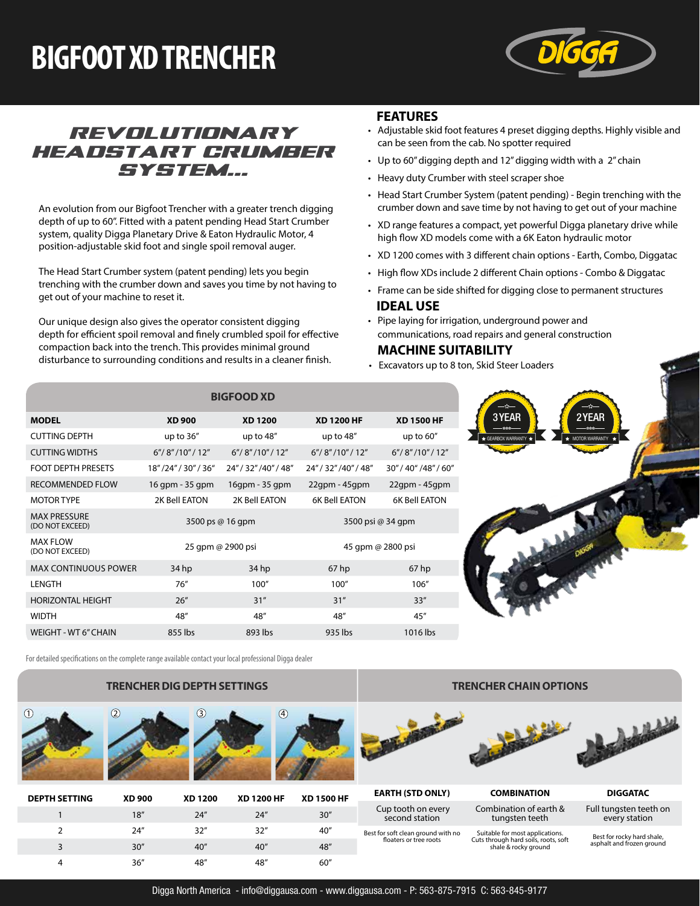# **BIGFOOT XD TRENCHER**



## *revolutionary headstart crumber system...*

An evolution from our Bigfoot Trencher with a greater trench digging depth of up to 60". Fitted with a patent pending Head Start Crumber system, quality Digga Planetary Drive & Eaton Hydraulic Motor, 4 position-adjustable skid foot and single spoil removal auger.

The Head Start Crumber system (patent pending) lets you begin trenching with the crumber down and saves you time by not having to get out of your machine to reset it.

Our unique design also gives the operator consistent digging depth for efficient spoil removal and finely crumbled spoil for effective compaction back into the trench. This provides minimal ground disturbance to surrounding conditions and results in a cleaner finish.

### **FEATURES**

- Adjustable skid foot features 4 preset digging depths. Highly visible and can be seen from the cab. No spotter required
- Up to 60" digging depth and 12" digging width with a 2" chain
- Heavy duty Crumber with steel scraper shoe
- Head Start Crumber System (patent pending) Begin trenching with the crumber down and save time by not having to get out of your machine
- XD range features a compact, yet powerful Digga planetary drive while high flow XD models come with a 6K Eaton hydraulic motor
- XD 1200 comes with 3 different chain options Earth, Combo, Diggatac
- High flow XDs include 2 different Chain options Combo & Diggatac
- Frame can be side shifted for digging close to permanent structures **IDEAL USE**
- Pipe laying for irrigation, underground power and communications, road repairs and general construction

#### **MACHINE SUITABILITY**

• Excavators up to 8 ton, Skid Steer Loaders

|                                        |                        | <b>BIGFOOD XD</b>     |                       |                       |
|----------------------------------------|------------------------|-----------------------|-----------------------|-----------------------|
| <b>MODEL</b>                           | <b>XD 900</b>          | <b>XD 1200</b>        | <b>XD 1200 HF</b>     | <b>XD 1500 HF</b>     |
| <b>CUTTING DEPTH</b>                   | up to 36"              | up to $48''$          | up to 48"             | up to $60''$          |
| <b>CUTTING WIDTHS</b>                  | 6''/ 8'' / 10'' / 12'' | 6''/8''/10''/12''     | 6''/8''/10''/12''     | 6''/ 8''/10''/12''    |
| <b>FOOT DEPTH PRESETS</b>              | 18"/24"/30"/36"        | 24" / 32" / 40" / 48" | 24" / 32" / 40" / 48" | 30" / 40" / 48" / 60" |
| <b>RECOMMENDED FLOW</b>                | 16 gpm - 35 gpm        | 16qpm - 35 qpm        | 22gpm - 45gpm         | $22$ gpm - $45$ gpm   |
| <b>MOTOR TYPE</b>                      | 2K Bell EATON          | 2K Bell EATON         | <b>6K Bell EATON</b>  | <b>6K Bell EATON</b>  |
| <b>MAX PRESSURE</b><br>(DO NOT EXCEED) | 3500 ps @ 16 gpm       |                       | 3500 psi @ 34 qpm     |                       |
| <b>MAX FLOW</b><br>(DO NOT EXCEED)     | 25 gpm @ 2900 psi      |                       | 45 qpm @ 2800 psi     |                       |
| <b>MAX CONTINUOUS POWER</b>            | 34 <sub>hp</sub>       | 34 hp                 | 67 <sub>hp</sub>      | 67 <sub>hp</sub>      |
| LENGTH                                 | 76''                   | 100"                  | 100"                  | 106"                  |
| HORIZONTAL HEIGHT                      | 26''                   | 31''                  | 31"                   | 33''                  |
| <b>WIDTH</b>                           | 48"                    | 48"                   | 48"                   | 45''                  |
| <b>WEIGHT - WT 6" CHAIN</b>            | 855 lbs                | 893 lbs               | 935 lbs               | 1016 lbs              |

For detailed specifications on the complete range available contact your local professional Digga dealer

### **TRENCHER DIG DEPTH SETTINGS**





| <b>DEPTH SETTING</b> | <b>XD 900</b> | <b>XD 1200</b> | <b>XD 1200 HF</b> | <b>XD 1500 HF</b> |
|----------------------|---------------|----------------|-------------------|-------------------|
|                      | 18''          | 24''           | 24''              | 30''              |
| $\mathcal{P}$        | 24''          | 32''           | 32''              | 40"               |
| 3                    | 30''          | 40''           | 40''              | 48"               |
| 4                    | 36''          | 48"            | 48"               | 60"               |
|                      |               |                |                   |                   |

#### **TRENCHER CHAIN OPTIONS**



**EARTH (STD ONLY) COMBINATION DIGGATAC** Cup tooth on every second station

Best for soft clean ground with no floaters or tree roots

Combination of earth &

tungsten teeth

Suitable for most applications. Cuts through hard soils, roots, soft shale & rocky ground

Full tungsten teeth on every station

Best for rocky hard shale, asphalt and frozen ground